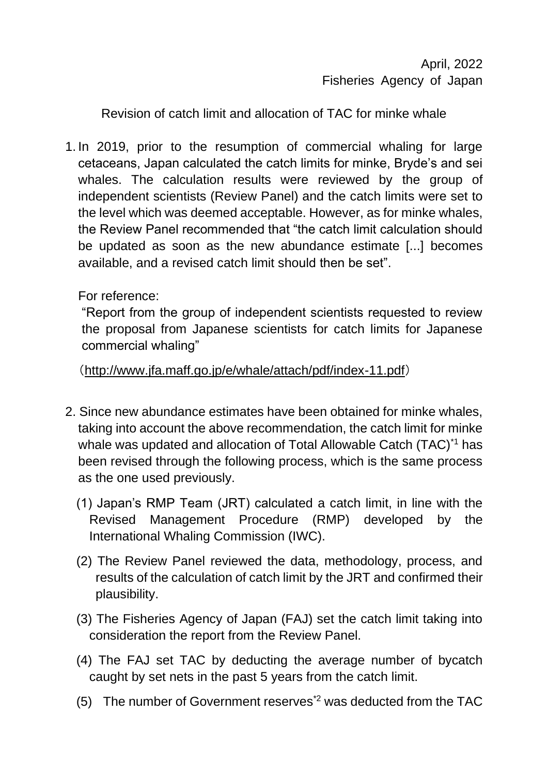April, 2022 Fisheries Agency of Japan

Revision of catch limit and allocation of TAC for minke whale

1. In 2019, prior to the resumption of commercial whaling for large cetaceans, Japan calculated the catch limits for minke, Bryde's and sei whales. The calculation results were reviewed by the group of independent scientists (Review Panel) and the catch limits were set to the level which was deemed acceptable. However, as for minke whales, the Review Panel recommended that "the catch limit calculation should be updated as soon as the new abundance estimate [...] becomes available, and a revised catch limit should then be set".

For reference:

"Report from the group of independent scientists requested to review the proposal from Japanese scientists for catch limits for Japanese commercial whaling"

(http://www.jfa.maff.go.jp/e/whale/attach/pdf/index-11.pdf)

- 2. Since new abundance estimates have been obtained for minke whales, taking into account the above recommendation, the catch limit for minke whale was updated and allocation of Total Allowable Catch (TAC)<sup>\*1</sup> has been revised through the following process, which is the same process as the one used previously.
	- (1) Japan's RMP Team (JRT) calculated a catch limit, in line with the Revised Management Procedure (RMP) developed by the International Whaling Commission (IWC).
	- (2) The Review Panel reviewed the data, methodology, process, and results of the calculation of catch limit by the JRT and confirmed their plausibility.
	- (3) The Fisheries Agency of Japan (FAJ) set the catch limit taking into consideration the report from the Review Panel.
	- (4) The FAJ set TAC by deducting the average number of bycatch caught by set nets in the past 5 years from the catch limit.
	- (5) The number of Government reserves<sup> $2$ </sup> was deducted from the TAC